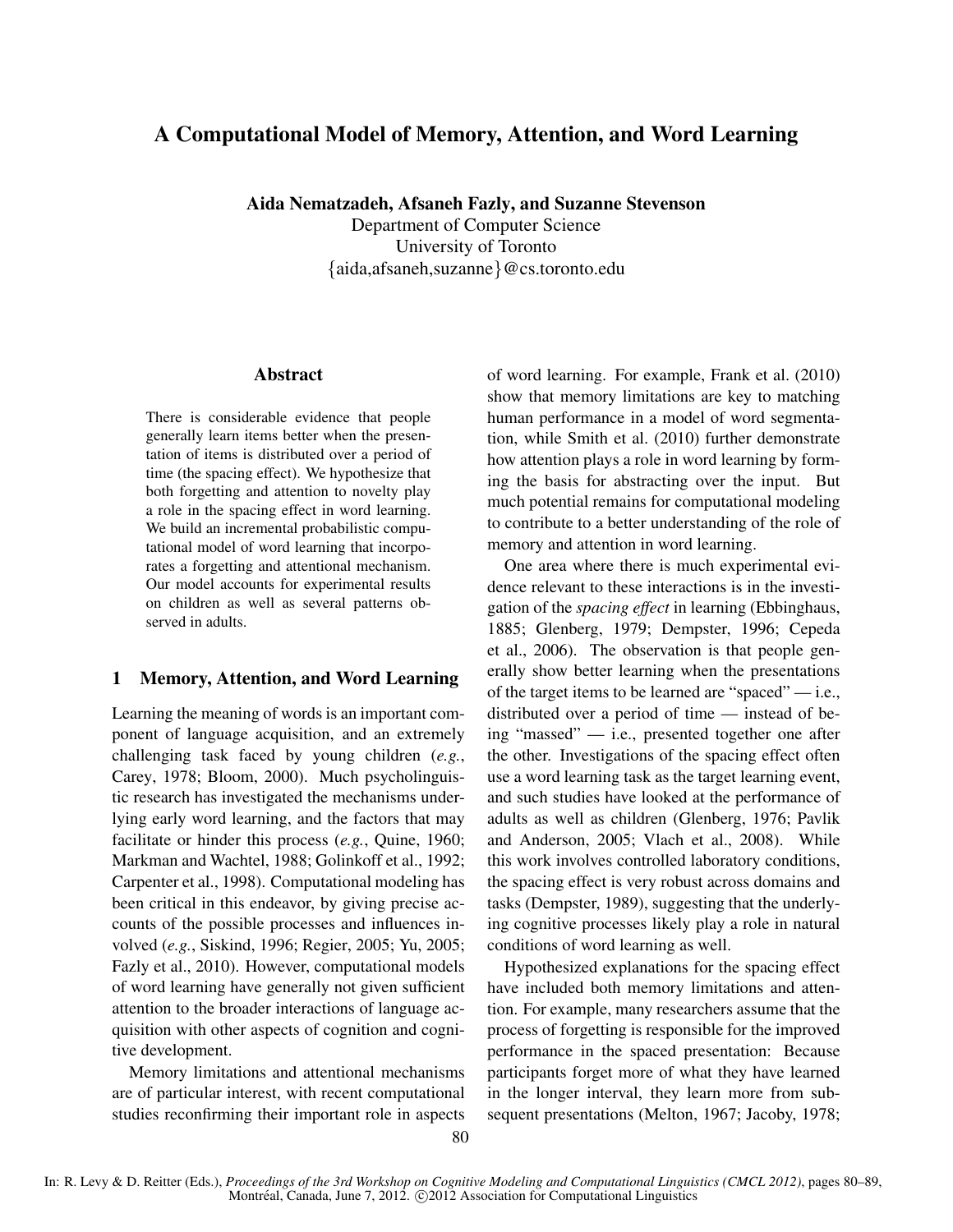# A Computational Model of Memory, Attention, and Word Learning

Aida Nematzadeh, Afsaneh Fazly, and Suzanne Stevenson

Department of Computer Science University of Toronto {aida,afsaneh,suzanne}@cs.toronto.edu

### Abstract

There is considerable evidence that people generally learn items better when the presentation of items is distributed over a period of time (the spacing effect). We hypothesize that both forgetting and attention to novelty play a role in the spacing effect in word learning. We build an incremental probabilistic computational model of word learning that incorporates a forgetting and attentional mechanism. Our model accounts for experimental results on children as well as several patterns observed in adults.

## 1 Memory, Attention, and Word Learning

Learning the meaning of words is an important component of language acquisition, and an extremely challenging task faced by young children (*e.g.*, Carey, 1978; Bloom, 2000). Much psycholinguistic research has investigated the mechanisms underlying early word learning, and the factors that may facilitate or hinder this process (*e.g.*, Quine, 1960; Markman and Wachtel, 1988; Golinkoff et al., 1992; Carpenter et al., 1998). Computational modeling has been critical in this endeavor, by giving precise accounts of the possible processes and influences involved (*e.g.*, Siskind, 1996; Regier, 2005; Yu, 2005; Fazly et al., 2010). However, computational models of word learning have generally not given sufficient attention to the broader interactions of language acquisition with other aspects of cognition and cognitive development.

Memory limitations and attentional mechanisms are of particular interest, with recent computational studies reconfirming their important role in aspects of word learning. For example, Frank et al. (2010) show that memory limitations are key to matching human performance in a model of word segmentation, while Smith et al. (2010) further demonstrate how attention plays a role in word learning by forming the basis for abstracting over the input. But much potential remains for computational modeling to contribute to a better understanding of the role of memory and attention in word learning.

One area where there is much experimental evidence relevant to these interactions is in the investigation of the *spacing effect* in learning (Ebbinghaus, 1885; Glenberg, 1979; Dempster, 1996; Cepeda et al., 2006). The observation is that people generally show better learning when the presentations of the target items to be learned are "spaced" — i.e., distributed over a period of time — instead of being "massed" — i.e., presented together one after the other. Investigations of the spacing effect often use a word learning task as the target learning event, and such studies have looked at the performance of adults as well as children (Glenberg, 1976; Pavlik and Anderson, 2005; Vlach et al., 2008). While this work involves controlled laboratory conditions, the spacing effect is very robust across domains and tasks (Dempster, 1989), suggesting that the underlying cognitive processes likely play a role in natural conditions of word learning as well.

Hypothesized explanations for the spacing effect have included both memory limitations and attention. For example, many researchers assume that the process of forgetting is responsible for the improved performance in the spaced presentation: Because participants forget more of what they have learned in the longer interval, they learn more from subsequent presentations (Melton, 1967; Jacoby, 1978;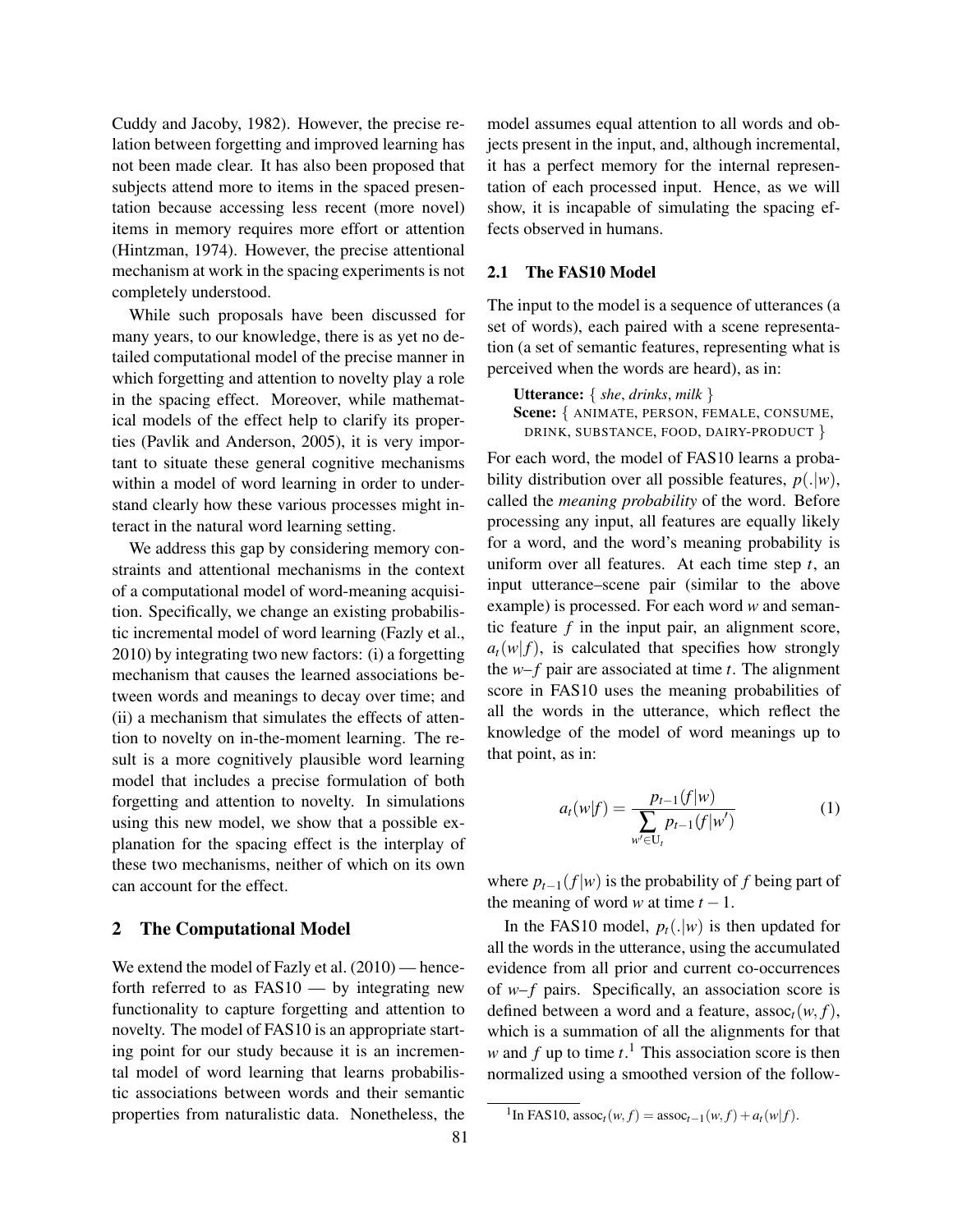Cuddy and Jacoby, 1982). However, the precise relation between forgetting and improved learning has not been made clear. It has also been proposed that subjects attend more to items in the spaced presentation because accessing less recent (more novel) items in memory requires more effort or attention (Hintzman, 1974). However, the precise attentional mechanism at work in the spacing experiments is not completely understood.

While such proposals have been discussed for many years, to our knowledge, there is as yet no detailed computational model of the precise manner in which forgetting and attention to novelty play a role in the spacing effect. Moreover, while mathematical models of the effect help to clarify its properties (Pavlik and Anderson, 2005), it is very important to situate these general cognitive mechanisms within a model of word learning in order to understand clearly how these various processes might interact in the natural word learning setting.

We address this gap by considering memory constraints and attentional mechanisms in the context of a computational model of word-meaning acquisition. Specifically, we change an existing probabilistic incremental model of word learning (Fazly et al., 2010) by integrating two new factors: (i) a forgetting mechanism that causes the learned associations between words and meanings to decay over time; and (ii) a mechanism that simulates the effects of attention to novelty on in-the-moment learning. The result is a more cognitively plausible word learning model that includes a precise formulation of both forgetting and attention to novelty. In simulations using this new model, we show that a possible explanation for the spacing effect is the interplay of these two mechanisms, neither of which on its own can account for the effect.

#### 2 The Computational Model

We extend the model of Fazly et al.  $(2010)$  — henceforth referred to as FAS10 — by integrating new functionality to capture forgetting and attention to novelty. The model of FAS10 is an appropriate starting point for our study because it is an incremental model of word learning that learns probabilistic associations between words and their semantic properties from naturalistic data. Nonetheless, the model assumes equal attention to all words and objects present in the input, and, although incremental, it has a perfect memory for the internal representation of each processed input. Hence, as we will show, it is incapable of simulating the spacing effects observed in humans.

#### 2.1 The FAS10 Model

The input to the model is a sequence of utterances (a set of words), each paired with a scene representation (a set of semantic features, representing what is perceived when the words are heard), as in:

Utterance: { *she*, *drinks*, *milk* } Scene: { ANIMATE, PERSON, FEMALE, CONSUME, DRINK, SUBSTANCE, FOOD, DAIRY-PRODUCT }

For each word, the model of FAS10 learns a probability distribution over all possible features,  $p(.|w)$ , called the *meaning probability* of the word. Before processing any input, all features are equally likely for a word, and the word's meaning probability is uniform over all features. At each time step *t*, an input utterance–scene pair (similar to the above example) is processed. For each word *w* and semantic feature *f* in the input pair, an alignment score,  $a_t(w|f)$ , is calculated that specifies how strongly the  $w-f$  pair are associated at time  $t$ . The alignment score in FAS10 uses the meaning probabilities of all the words in the utterance, which reflect the knowledge of the model of word meanings up to that point, as in:

$$
a_t(w|f) = \frac{p_{t-1}(f|w)}{\sum_{w' \in U_t} p_{t-1}(f|w')} \tag{1}
$$

where  $p_{t-1}(f|w)$  is the probability of *f* being part of the meaning of word *w* at time  $t - 1$ .

In the FAS10 model,  $p_t(.|w)$  is then updated for all the words in the utterance, using the accumulated evidence from all prior and current co-occurrences of *w*–*f* pairs. Specifically, an association score is defined between a word and a feature,  $assoc<sub>t</sub>(w, f)$ , which is a summation of all the alignments for that *w* and  $f$  up to time  $t$ <sup>1</sup>. This association score is then normalized using a smoothed version of the follow-

 $^{1}$ In FAS10, assoc<sub>*t*</sub>(*w*, *f*) = assoc<sub>*t*−1</sub>(*w*, *f*) + *a*<sub>*t*</sub>(*w*|*f*).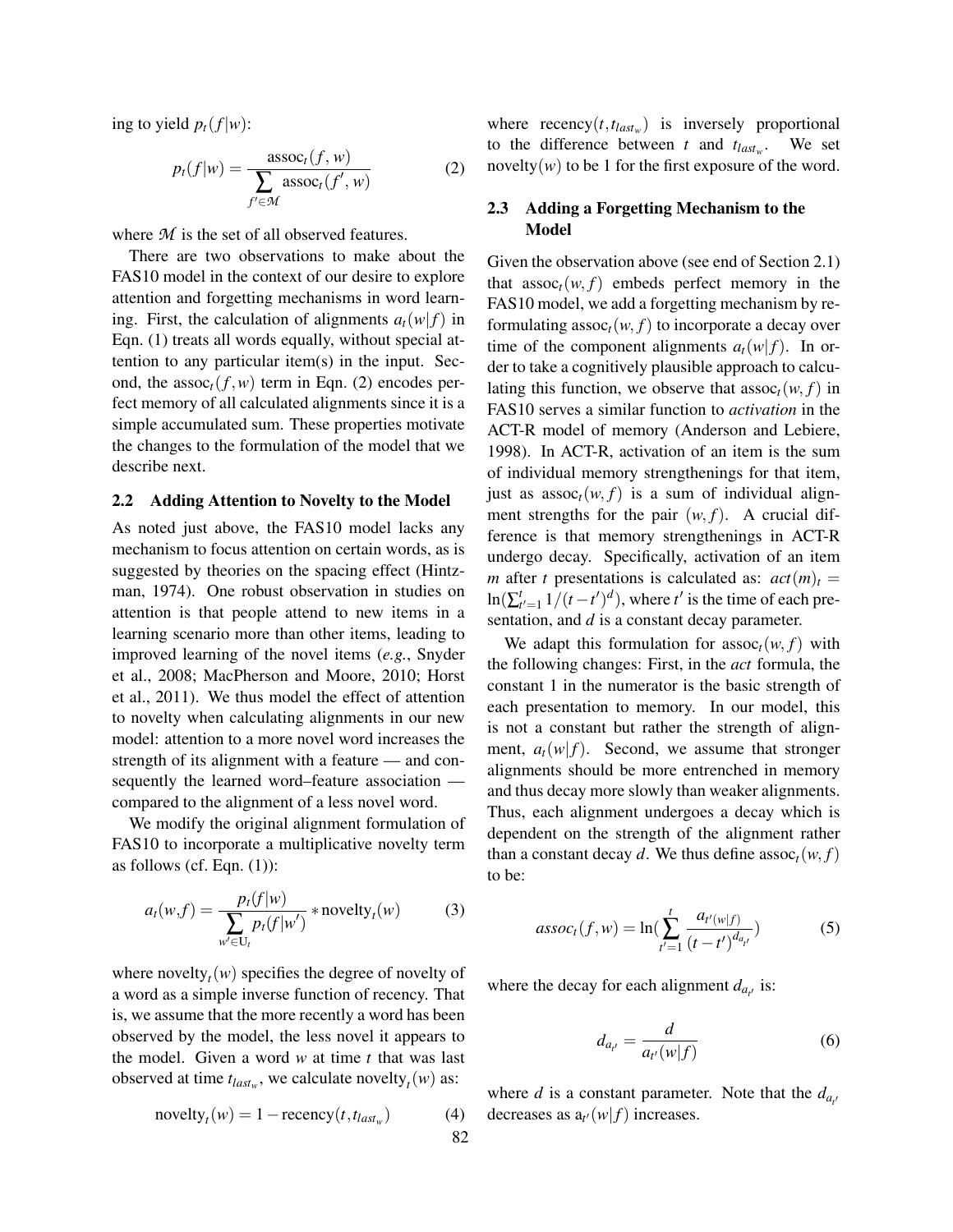ing to yield  $p_t(f|w)$ :

$$
p_t(f|w) = \frac{\operatorname{assoc}_t(f, w)}{\sum_{f' \in \mathcal{M}} \operatorname{assoc}_t(f', w)}
$$
(2)

where *M* is the set of all observed features.

There are two observations to make about the FAS10 model in the context of our desire to explore attention and forgetting mechanisms in word learning. First, the calculation of alignments  $a_t(w|f)$  in Eqn. (1) treats all words equally, without special attention to any particular item(s) in the input. Second, the assoc<sub>t</sub>( $f, w$ ) term in Eqn. (2) encodes perfect memory of all calculated alignments since it is a simple accumulated sum. These properties motivate the changes to the formulation of the model that we describe next.

#### 2.2 Adding Attention to Novelty to the Model

As noted just above, the FAS10 model lacks any mechanism to focus attention on certain words, as is suggested by theories on the spacing effect (Hintzman, 1974). One robust observation in studies on attention is that people attend to new items in a learning scenario more than other items, leading to improved learning of the novel items (*e.g.*, Snyder et al., 2008; MacPherson and Moore, 2010; Horst et al., 2011). We thus model the effect of attention to novelty when calculating alignments in our new model: attention to a more novel word increases the strength of its alignment with a feature — and consequently the learned word–feature association compared to the alignment of a less novel word.

We modify the original alignment formulation of FAS10 to incorporate a multiplicative novelty term as follows (cf. Eqn.  $(1)$ ):

$$
a_t(w,f) = \frac{p_t(f|w)}{\sum_{w' \in U_t} p_t(f|w')} * \text{novelty}_t(w) \tag{3}
$$

where novelty<sub>t</sub> $(w)$  specifies the degree of novelty of a word as a simple inverse function of recency. That is, we assume that the more recently a word has been observed by the model, the less novel it appears to the model. Given a word *w* at time *t* that was last observed at time  $t_{last_w}$ , we calculate novelty<sub>t</sub> $(w)$  as:

> $\text{novelty}_t(w) = 1 - \text{recency}(t, t_{last_w})$  $(4)$

where  $recency(t, t_{lastw})$  is inversely proportional to the difference between *t* and  $t_{lastw}$ . . We set novelty $(w)$  to be 1 for the first exposure of the word.

### 2.3 Adding a Forgetting Mechanism to the Model

Given the observation above (see end of Section 2.1) that  $assoc<sub>t</sub>(w, f)$  embeds perfect memory in the FAS10 model, we add a forgetting mechanism by reformulating assoc<sub>t</sub> $(w, f)$  to incorporate a decay over time of the component alignments  $a_t(w|f)$ . In order to take a cognitively plausible approach to calculating this function, we observe that  $assoc<sub>t</sub>(w, f)$  in FAS10 serves a similar function to *activation* in the ACT-R model of memory (Anderson and Lebiere, 1998). In ACT-R, activation of an item is the sum of individual memory strengthenings for that item, just as  $\operatorname{assoc}_t(w, f)$  is a sum of individual alignment strengths for the pair  $(w, f)$ . A crucial difference is that memory strengthenings in ACT-R undergo decay. Specifically, activation of an item *m* after *t* presentations is calculated as:  $act(m)<sub>t</sub>$  =  $\ln(\sum_{t'=1}^{t} 1/(t-t')^d)$ , where *t'* is the time of each presentation, and *d* is a constant decay parameter.

We adapt this formulation for  $assoc<sub>t</sub>(w, f)$  with the following changes: First, in the *act* formula, the constant 1 in the numerator is the basic strength of each presentation to memory. In our model, this is not a constant but rather the strength of alignment,  $a_t(w|f)$ . Second, we assume that stronger alignments should be more entrenched in memory and thus decay more slowly than weaker alignments. Thus, each alignment undergoes a decay which is dependent on the strength of the alignment rather than a constant decay *d*. We thus define assoc<sub>t</sub>( $w$ ,  $f$ ) to be:

$$
assoct(f, w) = \ln(\sum_{t'=1}^{t} \frac{a_{t'(w|f)}}{(t - t')^{d_{a_{t'}}}})
$$
\n(5)

where the decay for each alignment  $d_{a_{t'}}$  is:

$$
d_{a_{t'}} = \frac{d}{a_{t'}(w|f)}\tag{6}
$$

where *d* is a constant parameter. Note that the  $d_{a}$ decreases as  $a_{t'}(w|f)$  increases.

82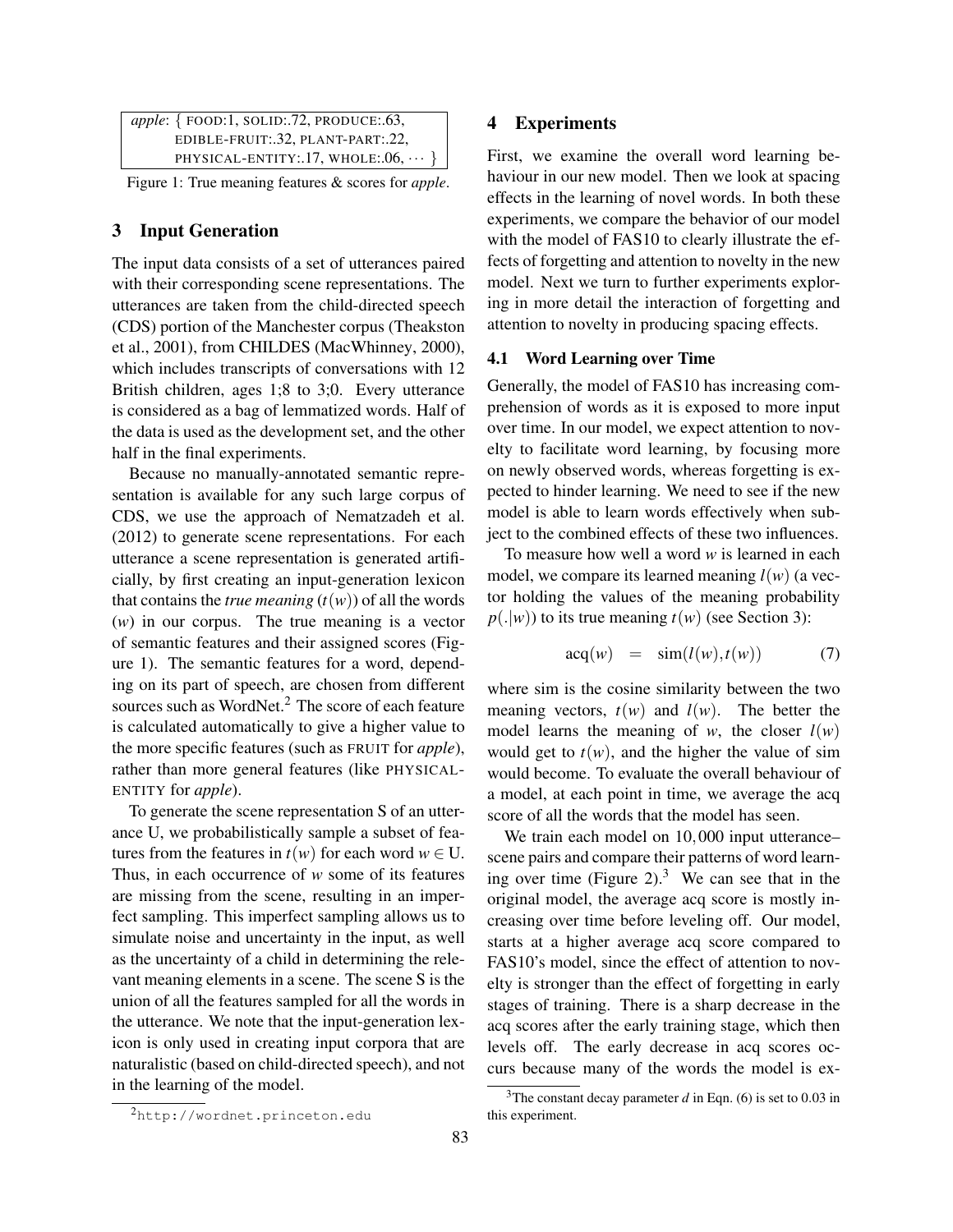| apple: {FOOD:1, SOLID:.72, PRODUCE:.63, |
|-----------------------------------------|
| EDIBLE-FRUIT: 32, PLANT-PART: 22,       |
| PHYSICAL-ENTITY:.17, WHOLE:.06, $\dots$ |

Figure 1: True meaning features & scores for *apple*.

## 3 Input Generation

The input data consists of a set of utterances paired with their corresponding scene representations. The utterances are taken from the child-directed speech (CDS) portion of the Manchester corpus (Theakston et al., 2001), from CHILDES (MacWhinney, 2000), which includes transcripts of conversations with 12 British children, ages 1;8 to 3;0. Every utterance is considered as a bag of lemmatized words. Half of the data is used as the development set, and the other half in the final experiments.

Because no manually-annotated semantic representation is available for any such large corpus of CDS, we use the approach of Nematzadeh et al. (2012) to generate scene representations. For each utterance a scene representation is generated artificially, by first creating an input-generation lexicon that contains the *true meaning*  $(t(w))$  of all the words (*w*) in our corpus. The true meaning is a vector of semantic features and their assigned scores (Figure 1). The semantic features for a word, depending on its part of speech, are chosen from different sources such as WordNet.<sup>2</sup> The score of each feature is calculated automatically to give a higher value to the more specific features (such as FRUIT for *apple*), rather than more general features (like PHYSICAL-ENTITY for *apple*).

To generate the scene representation S of an utterance U, we probabilistically sample a subset of features from the features in  $t(w)$  for each word  $w \in U$ . Thus, in each occurrence of *w* some of its features are missing from the scene, resulting in an imperfect sampling. This imperfect sampling allows us to simulate noise and uncertainty in the input, as well as the uncertainty of a child in determining the relevant meaning elements in a scene. The scene S is the union of all the features sampled for all the words in the utterance. We note that the input-generation lexicon is only used in creating input corpora that are naturalistic (based on child-directed speech), and not in the learning of the model.

#### 4 Experiments

First, we examine the overall word learning behaviour in our new model. Then we look at spacing effects in the learning of novel words. In both these experiments, we compare the behavior of our model with the model of FAS10 to clearly illustrate the effects of forgetting and attention to novelty in the new model. Next we turn to further experiments exploring in more detail the interaction of forgetting and attention to novelty in producing spacing effects.

### 4.1 Word Learning over Time

Generally, the model of FAS10 has increasing comprehension of words as it is exposed to more input over time. In our model, we expect attention to novelty to facilitate word learning, by focusing more on newly observed words, whereas forgetting is expected to hinder learning. We need to see if the new model is able to learn words effectively when subject to the combined effects of these two influences.

To measure how well a word *w* is learned in each model, we compare its learned meaning  $l(w)$  (a vector holding the values of the meaning probability  $p(.|w)$ ) to its true meaning  $t(w)$  (see Section 3):

$$
acq(w) = \sin(l(w), t(w)) \tag{7}
$$

where sim is the cosine similarity between the two meaning vectors,  $t(w)$  and  $l(w)$ . The better the model learns the meaning of *w*, the closer  $l(w)$ would get to  $t(w)$ , and the higher the value of sim would become. To evaluate the overall behaviour of a model, at each point in time, we average the acq score of all the words that the model has seen.

We train each model on 10,000 input utterance– scene pairs and compare their patterns of word learning over time (Figure 2). $3$  We can see that in the original model, the average acq score is mostly increasing over time before leveling off. Our model, starts at a higher average acq score compared to FAS10's model, since the effect of attention to novelty is stronger than the effect of forgetting in early stages of training. There is a sharp decrease in the acq scores after the early training stage, which then levels off. The early decrease in acq scores occurs because many of the words the model is ex-

<sup>2</sup>http://wordnet.princeton.edu

<sup>&</sup>lt;sup>3</sup>The constant decay parameter  $d$  in Eqn. (6) is set to 0.03 in this experiment.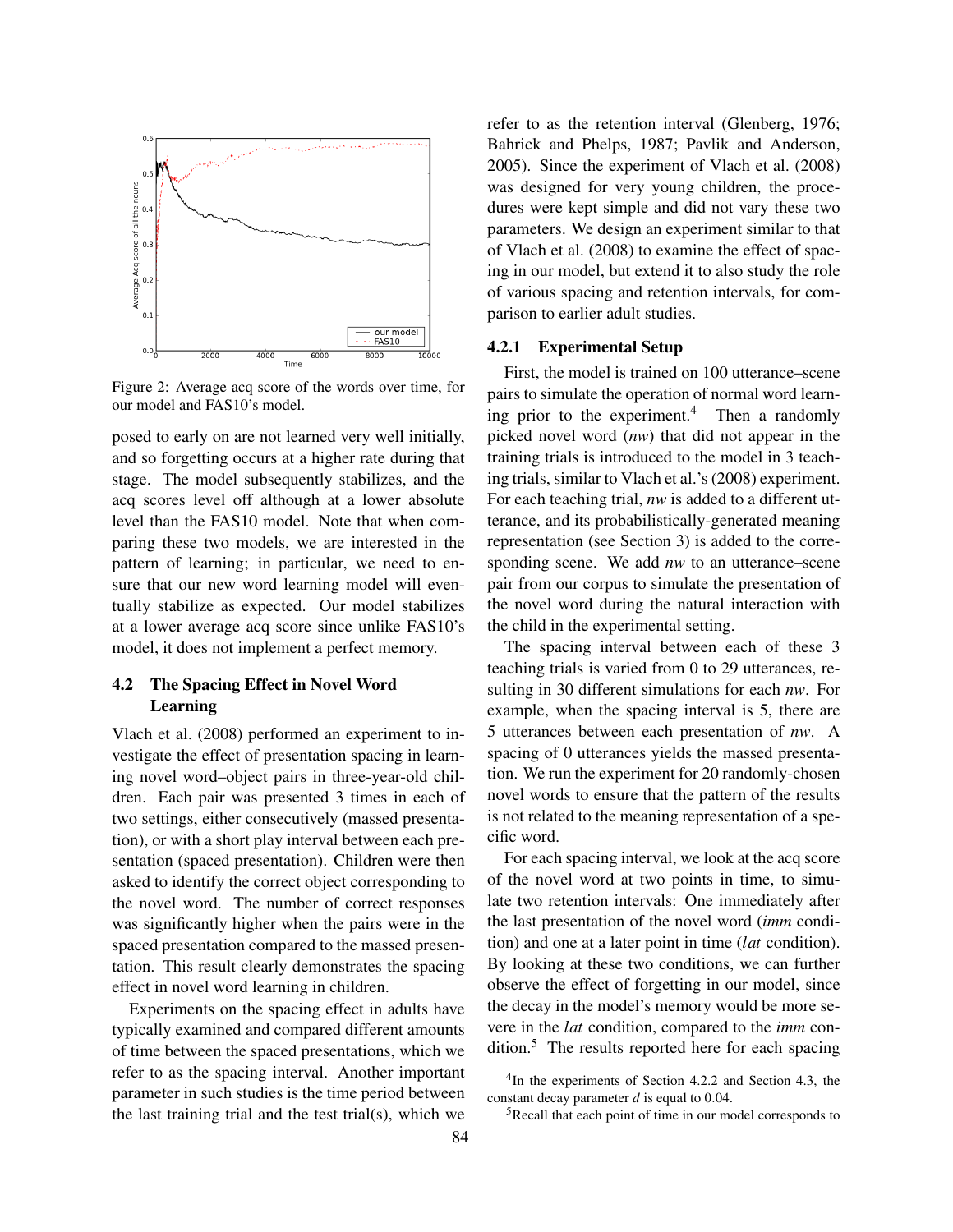

Figure 2: Average acq score of the words over time, for our model and FAS10's model.

posed to early on are not learned very well initially, and so forgetting occurs at a higher rate during that stage. The model subsequently stabilizes, and the acq scores level off although at a lower absolute level than the FAS10 model. Note that when comparing these two models, we are interested in the pattern of learning; in particular, we need to ensure that our new word learning model will eventually stabilize as expected. Our model stabilizes at a lower average acq score since unlike FAS10's model, it does not implement a perfect memory.

## 4.2 The Spacing Effect in Novel Word Learning

Vlach et al. (2008) performed an experiment to investigate the effect of presentation spacing in learning novel word–object pairs in three-year-old children. Each pair was presented 3 times in each of two settings, either consecutively (massed presentation), or with a short play interval between each presentation (spaced presentation). Children were then asked to identify the correct object corresponding to the novel word. The number of correct responses was significantly higher when the pairs were in the spaced presentation compared to the massed presentation. This result clearly demonstrates the spacing effect in novel word learning in children.

Experiments on the spacing effect in adults have typically examined and compared different amounts of time between the spaced presentations, which we refer to as the spacing interval. Another important parameter in such studies is the time period between the last training trial and the test trial(s), which we refer to as the retention interval (Glenberg, 1976; Bahrick and Phelps, 1987; Pavlik and Anderson, 2005). Since the experiment of Vlach et al. (2008) was designed for very young children, the procedures were kept simple and did not vary these two parameters. We design an experiment similar to that of Vlach et al. (2008) to examine the effect of spacing in our model, but extend it to also study the role of various spacing and retention intervals, for comparison to earlier adult studies.

## 4.2.1 Experimental Setup

First, the model is trained on 100 utterance–scene pairs to simulate the operation of normal word learning prior to the experiment.<sup>4</sup> Then a randomly picked novel word (*nw*) that did not appear in the training trials is introduced to the model in 3 teaching trials, similar to Vlach et al.'s (2008) experiment. For each teaching trial, *nw* is added to a different utterance, and its probabilistically-generated meaning representation (see Section 3) is added to the corresponding scene. We add *nw* to an utterance–scene pair from our corpus to simulate the presentation of the novel word during the natural interaction with the child in the experimental setting.

The spacing interval between each of these 3 teaching trials is varied from 0 to 29 utterances, resulting in 30 different simulations for each *nw*. For example, when the spacing interval is 5, there are 5 utterances between each presentation of *nw*. A spacing of 0 utterances yields the massed presentation. We run the experiment for 20 randomly-chosen novel words to ensure that the pattern of the results is not related to the meaning representation of a specific word.

For each spacing interval, we look at the acq score of the novel word at two points in time, to simulate two retention intervals: One immediately after the last presentation of the novel word (*imm* condition) and one at a later point in time (*lat* condition). By looking at these two conditions, we can further observe the effect of forgetting in our model, since the decay in the model's memory would be more severe in the *lat* condition, compared to the *imm* condition.<sup>5</sup> The results reported here for each spacing

<sup>4</sup> In the experiments of Section 4.2.2 and Section 4.3, the constant decay parameter *d* is equal to 0.04.

<sup>5</sup>Recall that each point of time in our model corresponds to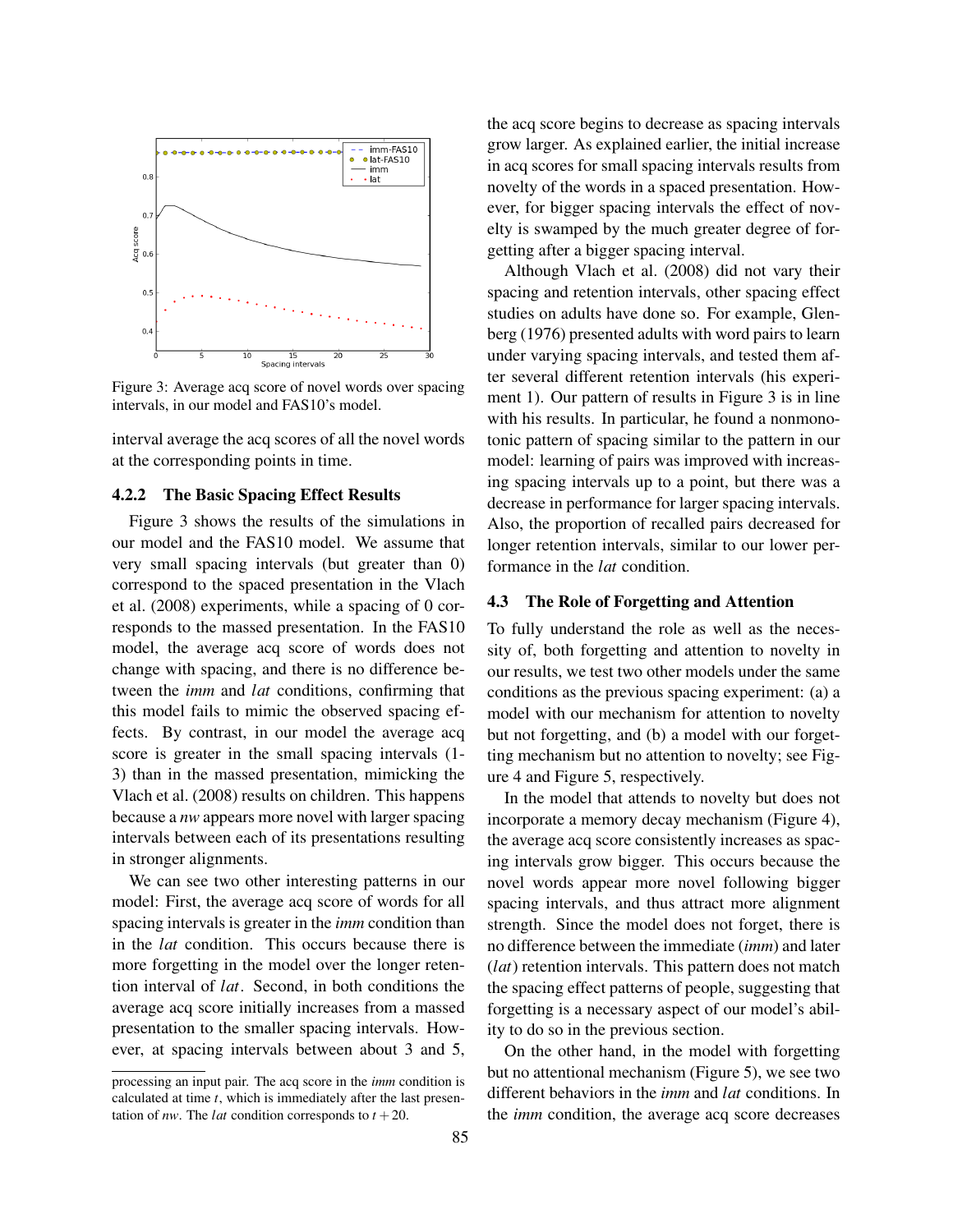

Figure 3: Average acq score of novel words over spacing intervals, in our model and FAS10's model.

interval average the acq scores of all the novel words at the corresponding points in time.

#### 4.2.2 The Basic Spacing Effect Results

Figure 3 shows the results of the simulations in our model and the FAS10 model. We assume that very small spacing intervals (but greater than 0) correspond to the spaced presentation in the Vlach et al. (2008) experiments, while a spacing of 0 corresponds to the massed presentation. In the FAS10 model, the average acq score of words does not change with spacing, and there is no difference between the *imm* and *lat* conditions, confirming that this model fails to mimic the observed spacing effects. By contrast, in our model the average acq score is greater in the small spacing intervals (1- 3) than in the massed presentation, mimicking the Vlach et al. (2008) results on children. This happens because a *nw* appears more novel with larger spacing intervals between each of its presentations resulting in stronger alignments.

We can see two other interesting patterns in our model: First, the average acq score of words for all spacing intervals is greater in the *imm* condition than in the *lat* condition. This occurs because there is more forgetting in the model over the longer retention interval of *lat*. Second, in both conditions the average acq score initially increases from a massed presentation to the smaller spacing intervals. However, at spacing intervals between about 3 and 5, the acq score begins to decrease as spacing intervals grow larger. As explained earlier, the initial increase in acq scores for small spacing intervals results from novelty of the words in a spaced presentation. However, for bigger spacing intervals the effect of novelty is swamped by the much greater degree of forgetting after a bigger spacing interval.

Although Vlach et al. (2008) did not vary their spacing and retention intervals, other spacing effect studies on adults have done so. For example, Glenberg (1976) presented adults with word pairs to learn under varying spacing intervals, and tested them after several different retention intervals (his experiment 1). Our pattern of results in Figure 3 is in line with his results. In particular, he found a nonmonotonic pattern of spacing similar to the pattern in our model: learning of pairs was improved with increasing spacing intervals up to a point, but there was a decrease in performance for larger spacing intervals. Also, the proportion of recalled pairs decreased for longer retention intervals, similar to our lower performance in the *lat* condition.

#### 4.3 The Role of Forgetting and Attention

To fully understand the role as well as the necessity of, both forgetting and attention to novelty in our results, we test two other models under the same conditions as the previous spacing experiment: (a) a model with our mechanism for attention to novelty but not forgetting, and (b) a model with our forgetting mechanism but no attention to novelty; see Figure 4 and Figure 5, respectively.

In the model that attends to novelty but does not incorporate a memory decay mechanism (Figure 4), the average acq score consistently increases as spacing intervals grow bigger. This occurs because the novel words appear more novel following bigger spacing intervals, and thus attract more alignment strength. Since the model does not forget, there is no difference between the immediate (*imm*) and later (*lat*) retention intervals. This pattern does not match the spacing effect patterns of people, suggesting that forgetting is a necessary aspect of our model's ability to do so in the previous section.

On the other hand, in the model with forgetting but no attentional mechanism (Figure 5), we see two different behaviors in the *imm* and *lat* conditions. In the *imm* condition, the average acq score decreases

processing an input pair. The acq score in the *imm* condition is calculated at time *t*, which is immediately after the last presentation of *nw*. The *lat* condition corresponds to  $t + 20$ .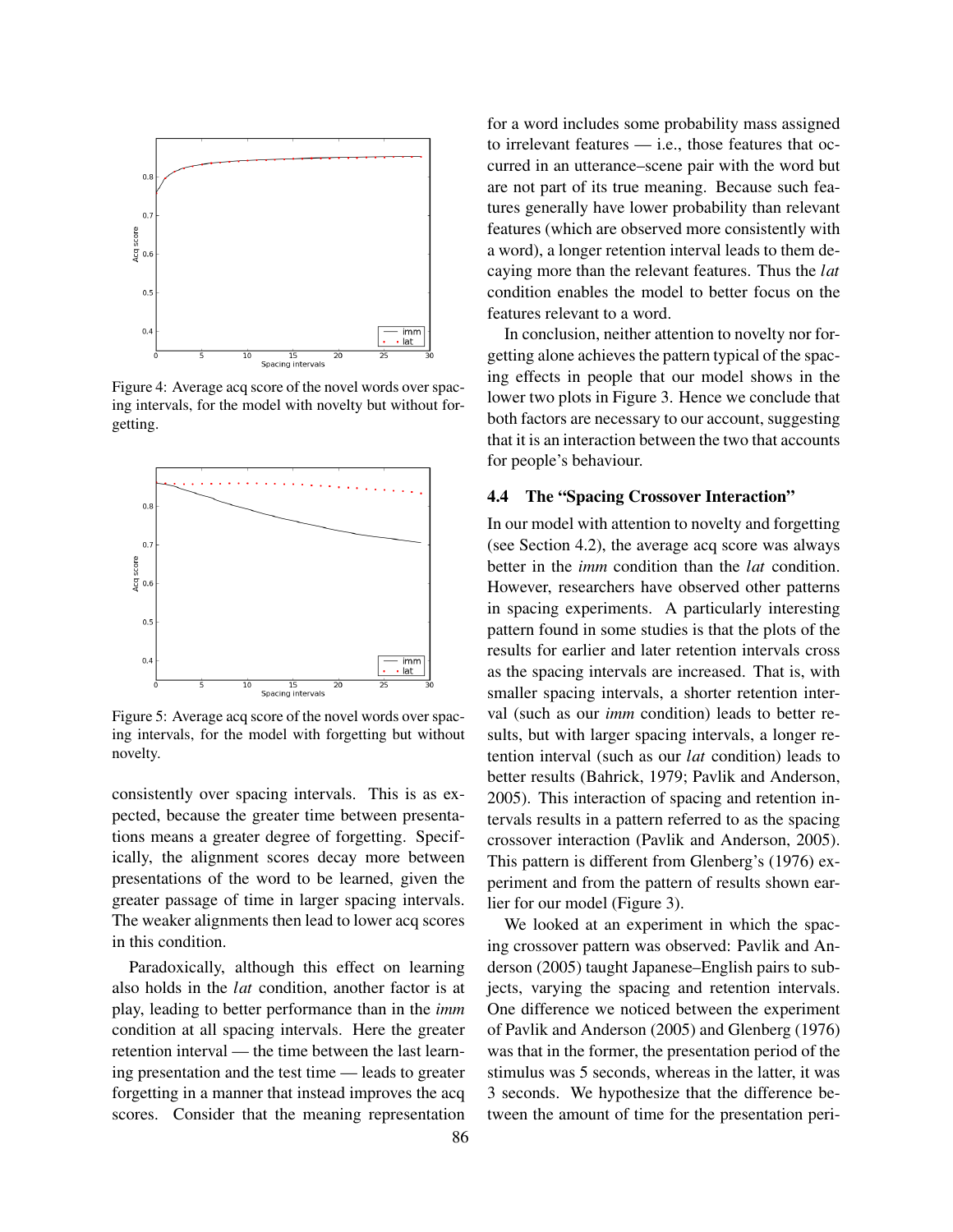

Figure 4: Average acq score of the novel words over spacing intervals, for the model with novelty but without forgetting.



Figure 5: Average acq score of the novel words over spacing intervals, for the model with forgetting but without novelty.

consistently over spacing intervals. This is as expected, because the greater time between presentations means a greater degree of forgetting. Specifically, the alignment scores decay more between presentations of the word to be learned, given the greater passage of time in larger spacing intervals. The weaker alignments then lead to lower acq scores in this condition.

Paradoxically, although this effect on learning also holds in the *lat* condition, another factor is at play, leading to better performance than in the *imm* condition at all spacing intervals. Here the greater retention interval — the time between the last learning presentation and the test time — leads to greater forgetting in a manner that instead improves the acq scores. Consider that the meaning representation for a word includes some probability mass assigned to irrelevant features — i.e., those features that occurred in an utterance–scene pair with the word but are not part of its true meaning. Because such features generally have lower probability than relevant features (which are observed more consistently with a word), a longer retention interval leads to them decaying more than the relevant features. Thus the *lat* condition enables the model to better focus on the features relevant to a word.

In conclusion, neither attention to novelty nor forgetting alone achieves the pattern typical of the spacing effects in people that our model shows in the lower two plots in Figure 3. Hence we conclude that both factors are necessary to our account, suggesting that it is an interaction between the two that accounts for people's behaviour.

### 4.4 The "Spacing Crossover Interaction"

In our model with attention to novelty and forgetting (see Section 4.2), the average acq score was always better in the *imm* condition than the *lat* condition. However, researchers have observed other patterns in spacing experiments. A particularly interesting pattern found in some studies is that the plots of the results for earlier and later retention intervals cross as the spacing intervals are increased. That is, with smaller spacing intervals, a shorter retention interval (such as our *imm* condition) leads to better results, but with larger spacing intervals, a longer retention interval (such as our *lat* condition) leads to better results (Bahrick, 1979; Pavlik and Anderson, 2005). This interaction of spacing and retention intervals results in a pattern referred to as the spacing crossover interaction (Pavlik and Anderson, 2005). This pattern is different from Glenberg's (1976) experiment and from the pattern of results shown earlier for our model (Figure 3).

We looked at an experiment in which the spacing crossover pattern was observed: Pavlik and Anderson (2005) taught Japanese–English pairs to subjects, varying the spacing and retention intervals. One difference we noticed between the experiment of Pavlik and Anderson (2005) and Glenberg (1976) was that in the former, the presentation period of the stimulus was 5 seconds, whereas in the latter, it was 3 seconds. We hypothesize that the difference between the amount of time for the presentation peri-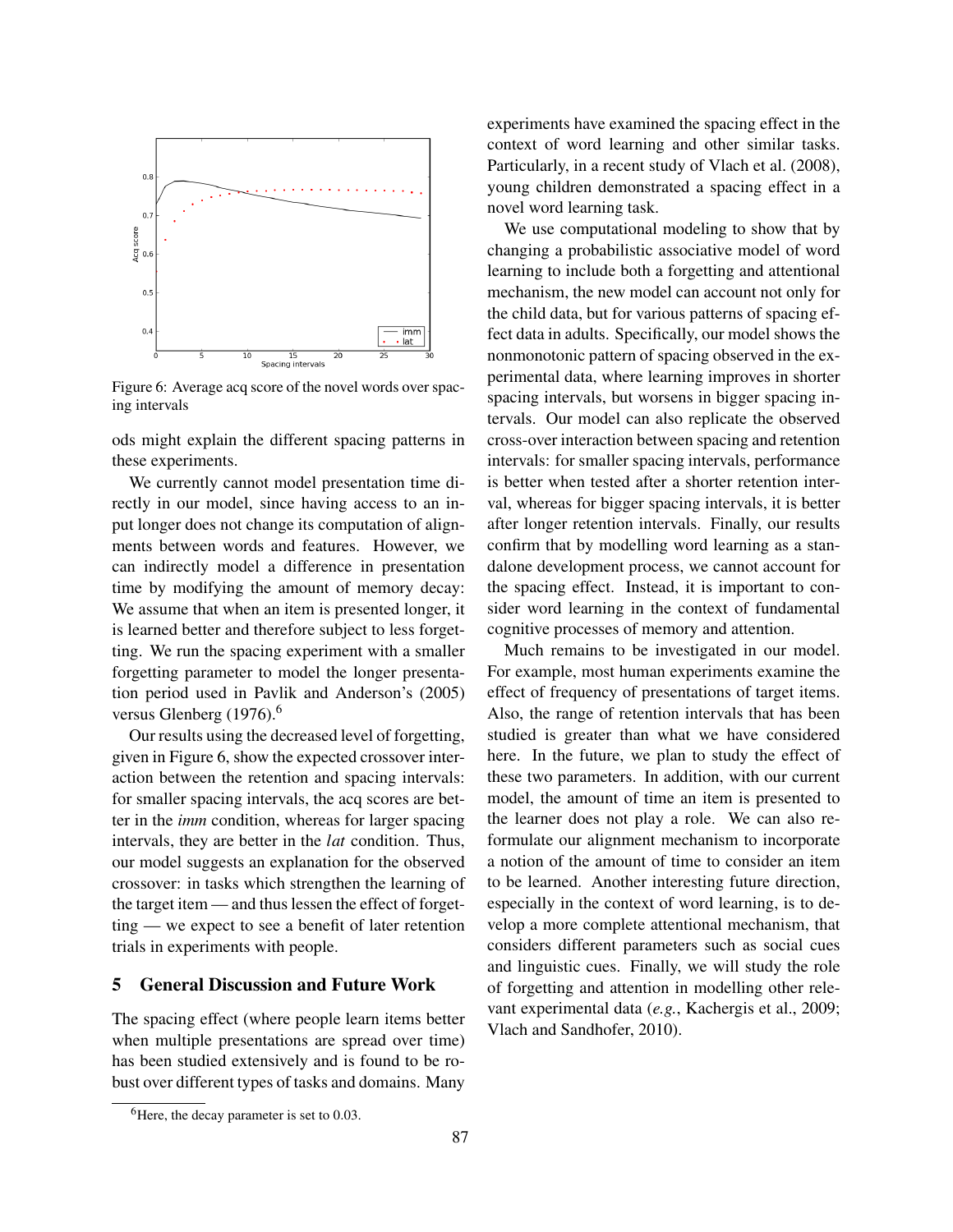

Figure 6: Average acq score of the novel words over spacing intervals

ods might explain the different spacing patterns in these experiments.

We currently cannot model presentation time directly in our model, since having access to an input longer does not change its computation of alignments between words and features. However, we can indirectly model a difference in presentation time by modifying the amount of memory decay: We assume that when an item is presented longer, it is learned better and therefore subject to less forgetting. We run the spacing experiment with a smaller forgetting parameter to model the longer presentation period used in Pavlik and Anderson's (2005) versus Glenberg (1976).<sup>6</sup>

Our results using the decreased level of forgetting, given in Figure 6, show the expected crossover interaction between the retention and spacing intervals: for smaller spacing intervals, the acq scores are better in the *imm* condition, whereas for larger spacing intervals, they are better in the *lat* condition. Thus, our model suggests an explanation for the observed crossover: in tasks which strengthen the learning of the target item — and thus lessen the effect of forgetting — we expect to see a benefit of later retention trials in experiments with people.

# 5 General Discussion and Future Work

The spacing effect (where people learn items better when multiple presentations are spread over time) has been studied extensively and is found to be robust over different types of tasks and domains. Many

experiments have examined the spacing effect in the context of word learning and other similar tasks. Particularly, in a recent study of Vlach et al. (2008), young children demonstrated a spacing effect in a novel word learning task.

We use computational modeling to show that by changing a probabilistic associative model of word learning to include both a forgetting and attentional mechanism, the new model can account not only for the child data, but for various patterns of spacing effect data in adults. Specifically, our model shows the nonmonotonic pattern of spacing observed in the experimental data, where learning improves in shorter spacing intervals, but worsens in bigger spacing intervals. Our model can also replicate the observed cross-over interaction between spacing and retention intervals: for smaller spacing intervals, performance is better when tested after a shorter retention interval, whereas for bigger spacing intervals, it is better after longer retention intervals. Finally, our results confirm that by modelling word learning as a standalone development process, we cannot account for the spacing effect. Instead, it is important to consider word learning in the context of fundamental cognitive processes of memory and attention.

Much remains to be investigated in our model. For example, most human experiments examine the effect of frequency of presentations of target items. Also, the range of retention intervals that has been studied is greater than what we have considered here. In the future, we plan to study the effect of these two parameters. In addition, with our current model, the amount of time an item is presented to the learner does not play a role. We can also reformulate our alignment mechanism to incorporate a notion of the amount of time to consider an item to be learned. Another interesting future direction, especially in the context of word learning, is to develop a more complete attentional mechanism, that considers different parameters such as social cues and linguistic cues. Finally, we will study the role of forgetting and attention in modelling other relevant experimental data (*e.g.*, Kachergis et al., 2009; Vlach and Sandhofer, 2010).

 ${}^{6}$ Here, the decay parameter is set to 0.03.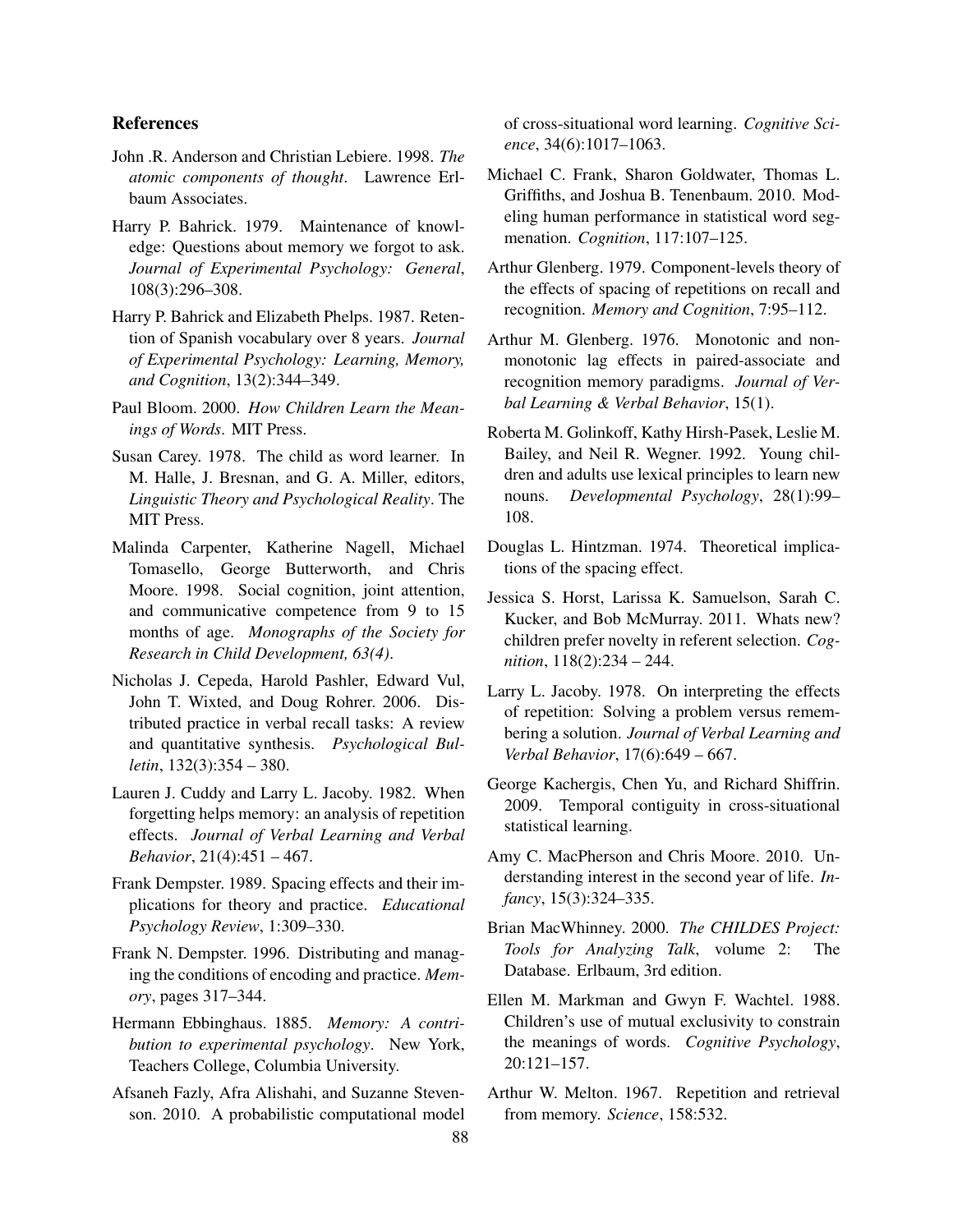### References

- John .R. Anderson and Christian Lebiere. 1998. *The atomic components of thought*. Lawrence Erlbaum Associates.
- Harry P. Bahrick. 1979. Maintenance of knowledge: Questions about memory we forgot to ask. *Journal of Experimental Psychology: General*, 108(3):296–308.
- Harry P. Bahrick and Elizabeth Phelps. 1987. Retention of Spanish vocabulary over 8 years. *Journal of Experimental Psychology: Learning, Memory, and Cognition*, 13(2):344–349.
- Paul Bloom. 2000. *How Children Learn the Meanings of Words*. MIT Press.
- Susan Carey. 1978. The child as word learner. In M. Halle, J. Bresnan, and G. A. Miller, editors, *Linguistic Theory and Psychological Reality*. The MIT Press.
- Malinda Carpenter, Katherine Nagell, Michael Tomasello, George Butterworth, and Chris Moore. 1998. Social cognition, joint attention, and communicative competence from 9 to 15 months of age. *Monographs of the Society for Research in Child Development, 63(4)*.
- Nicholas J. Cepeda, Harold Pashler, Edward Vul, John T. Wixted, and Doug Rohrer. 2006. Distributed practice in verbal recall tasks: A review and quantitative synthesis. *Psychological Bulletin*, 132(3):354 – 380.
- Lauren J. Cuddy and Larry L. Jacoby. 1982. When forgetting helps memory: an analysis of repetition effects. *Journal of Verbal Learning and Verbal Behavior*, 21(4):451 – 467.
- Frank Dempster. 1989. Spacing effects and their implications for theory and practice. *Educational Psychology Review*, 1:309–330.
- Frank N. Dempster. 1996. Distributing and managing the conditions of encoding and practice. *Memory*, pages 317–344.
- Hermann Ebbinghaus. 1885. *Memory: A contribution to experimental psychology*. New York, Teachers College, Columbia University.
- Afsaneh Fazly, Afra Alishahi, and Suzanne Stevenson. 2010. A probabilistic computational model

of cross-situational word learning. *Cognitive Science*, 34(6):1017–1063.

- Michael C. Frank, Sharon Goldwater, Thomas L. Griffiths, and Joshua B. Tenenbaum. 2010. Modeling human performance in statistical word segmenation. *Cognition*, 117:107–125.
- Arthur Glenberg. 1979. Component-levels theory of the effects of spacing of repetitions on recall and recognition. *Memory and Cognition*, 7:95–112.
- Arthur M. Glenberg. 1976. Monotonic and nonmonotonic lag effects in paired-associate and recognition memory paradigms. *Journal of Verbal Learning & Verbal Behavior*, 15(1).
- Roberta M. Golinkoff, Kathy Hirsh-Pasek, Leslie M. Bailey, and Neil R. Wegner. 1992. Young children and adults use lexical principles to learn new nouns. *Developmental Psychology*, 28(1):99– 108.
- Douglas L. Hintzman. 1974. Theoretical implications of the spacing effect.
- Jessica S. Horst, Larissa K. Samuelson, Sarah C. Kucker, and Bob McMurray. 2011. Whats new? children prefer novelty in referent selection. *Cognition*, 118(2):234 – 244.
- Larry L. Jacoby. 1978. On interpreting the effects of repetition: Solving a problem versus remembering a solution. *Journal of Verbal Learning and Verbal Behavior*, 17(6):649 – 667.
- George Kachergis, Chen Yu, and Richard Shiffrin. 2009. Temporal contiguity in cross-situational statistical learning.
- Amy C. MacPherson and Chris Moore. 2010. Understanding interest in the second year of life. *Infancy*, 15(3):324–335.
- Brian MacWhinney. 2000. *The CHILDES Project: Tools for Analyzing Talk*, volume 2: The Database. Erlbaum, 3rd edition.
- Ellen M. Markman and Gwyn F. Wachtel. 1988. Children's use of mutual exclusivity to constrain the meanings of words. *Cognitive Psychology*, 20:121–157.
- Arthur W. Melton. 1967. Repetition and retrieval from memory. *Science*, 158:532.

88